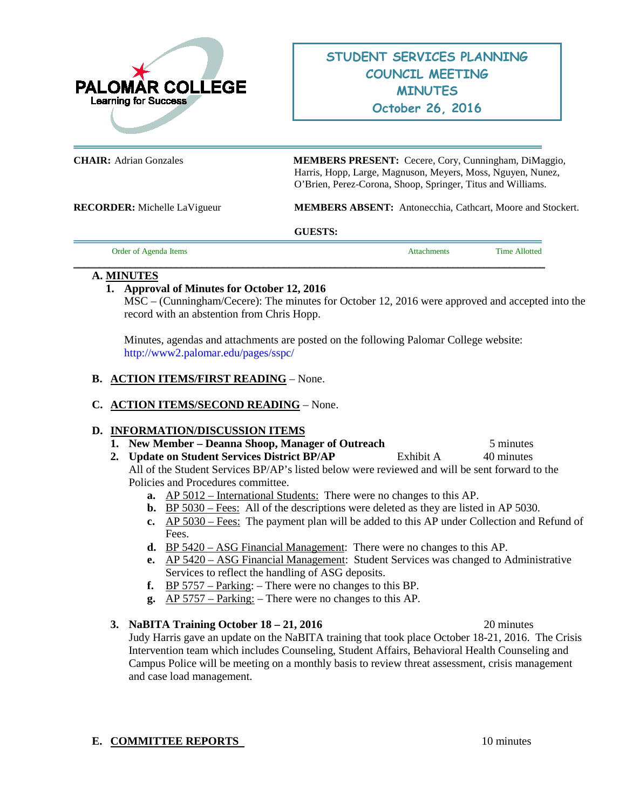

**CHAIR:** Adrian Gonzales **MEMBERS PRESENT:** Cecere, Cory, Cunningham, DiMaggio, Harris, Hopp, Large, Magnuson, Meyers, Moss, Nguyen, Nunez, O'Brien, Perez-Corona, Shoop, Springer, Titus and Williams.

**RECORDER:** Michelle LaVigueur **MEMBERS ABSENT:** Antonecchia, Cathcart, Moore and Stockert.

#### **GUESTS:**

**\_\_\_\_\_\_\_\_\_\_\_\_\_\_\_\_\_\_\_\_\_\_\_\_\_\_\_\_\_\_\_\_\_\_\_\_\_\_\_\_\_\_\_\_\_\_\_\_\_\_\_\_\_\_\_\_\_\_\_\_\_\_\_\_\_\_\_\_\_\_\_\_\_\_\_\_\_\_\_\_\_\_\_\_\_\_\_\_\_\_\_\_**

Order of Agenda Items **Attachments** Time Allotted

#### **A. MINUTES**

## **1. Approval of Minutes for October 12, 2016**

MSC – (Cunningham/Cecere): The minutes for October 12, 2016 were approved and accepted into the record with an abstention from Chris Hopp.

Minutes, agendas and attachments are posted on the following Palomar College website: <http://www2.palomar.edu/pages/sspc/>

## **B. ACTION ITEMS/FIRST READING** – None.

# **C. ACTION ITEMS/SECOND READING** – None.

## **D. INFORMATION/DISCUSSION ITEMS**

- **1. New Member Deanna Shoop, Manager of Outreach** 5 minutes
- **2. Update on Student Services District BP/AP** Exhibit A 40 minutes

All of the Student Services BP/AP's listed below were reviewed and will be sent forward to the Policies and Procedures committee.

- **a.** AP 5012 International Students: There were no changes to this AP.
- **b.** BP 5030 Fees: All of the descriptions were deleted as they are listed in AP 5030.
- **c.** AP 5030 Fees: The payment plan will be added to this AP under Collection and Refund of Fees.
- **d.** BP 5420 ASG Financial Management: There were no changes to this AP.
- **e.** AP 5420 ASG Financial Management: Student Services was changed to Administrative Services to reflect the handling of ASG deposits.
- **f.** BP 5757 Parking: There were no changes to this BP.
- **g.** AP 5757 Parking: There were no changes to this AP.

## **3. NaBITA Training October 18 – 21, 2016** 20 minutes

Judy Harris gave an update on the NaBITA training that took place October 18-21, 2016. The Crisis Intervention team which includes Counseling, Student Affairs, Behavioral Health Counseling and Campus Police will be meeting on a monthly basis to review threat assessment, crisis management and case load management.

## **E. COMMITTEE REPORTS** 10 minutes